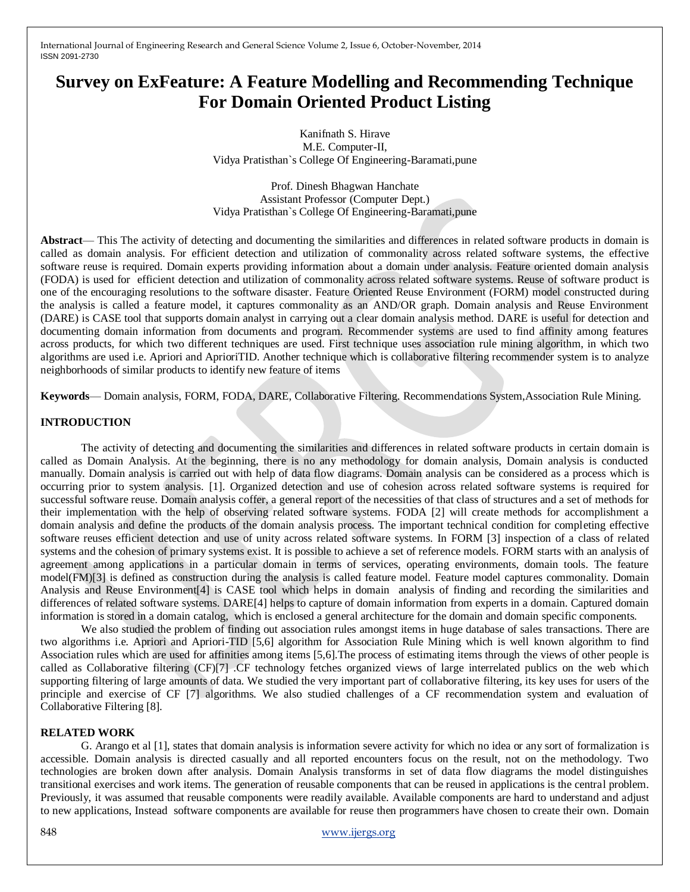# **Survey on ExFeature: A Feature Modelling and Recommending Technique For Domain Oriented Product Listing**

Kanifnath S. Hirave M.E. Computer-II, Vidya Pratisthan`s College Of Engineering-Baramati,pune

Prof. Dinesh Bhagwan Hanchate Assistant Professor (Computer Dept.) Vidya Pratisthan`s College Of Engineering-Baramati,pune

**Abstract**— This The activity of detecting and documenting the similarities and differences in related software products in domain is called as domain analysis. For efficient detection and utilization of commonality across related software systems, the effective software reuse is required. Domain experts providing information about a domain under analysis. Feature oriented domain analysis (FODA) is used for efficient detection and utilization of commonality across related software systems. Reuse of software product is one of the encouraging resolutions to the software disaster. Feature Oriented Reuse Environment (FORM) model constructed during the analysis is called a feature model, it captures commonality as an AND/OR graph. Domain analysis and Reuse Environment (DARE) is CASE tool that supports domain analyst in carrying out a clear domain analysis method. DARE is useful for detection and documenting domain information from documents and program. Recommender systems are used to find affinity among features across products, for which two different techniques are used. First technique uses association rule mining algorithm, in which two algorithms are used i.e. Apriori and AprioriTID. Another technique which is collaborative filtering recommender system is to analyze neighborhoods of similar products to identify new feature of items

**Keywords**— Domain analysis, FORM, FODA, DARE, Collaborative Filtering. Recommendations System,Association Rule Mining.

#### **INTRODUCTION**

The activity of detecting and documenting the similarities and differences in related software products in certain domain is called as Domain Analysis. At the beginning, there is no any methodology for domain analysis, Domain analysis is conducted manually. Domain analysis is carried out with help of data flow diagrams. Domain analysis can be considered as a process which is occurring prior to system analysis. [1]. Organized detection and use of cohesion across related software systems is required for successful software reuse. Domain analysis coffer, a general report of the necessities of that class of structures and a set of methods for their implementation with the help of observing related software systems. FODA [2] will create methods for accomplishment a domain analysis and define the products of the domain analysis process. The important technical condition for completing effective software reuses efficient detection and use of unity across related software systems. In FORM [3] inspection of a class of related systems and the cohesion of primary systems exist. It is possible to achieve a set of reference models. FORM starts with an analysis of agreement among applications in a particular domain in terms of services, operating environments, domain tools. The feature model(FM)[3] is defined as construction during the analysis is called feature model. Feature model captures commonality. Domain Analysis and Reuse Environment[4] is CASE tool which helps in domain analysis of finding and recording the similarities and differences of related software systems. DARE[4] helps to capture of domain information from experts in a domain. Captured domain information is stored in a domain catalog, which is enclosed a general architecture for the domain and domain specific components.

We also studied the problem of finding out association rules amongst items in huge database of sales transactions. There are two algorithms i.e. Apriori and Apriori-TID [5,6] algorithm for Association Rule Mining which is well known algorithm to find Association rules which are used for affinities among items [5,6].The process of estimating items through the views of other people is called as Collaborative filtering (CF)[7] .CF technology fetches organized views of large interrelated publics on the web which supporting filtering of large amounts of data. We studied the very important part of collaborative filtering, its key uses for users of the principle and exercise of CF [7] algorithms. We also studied challenges of a CF recommendation system and evaluation of Collaborative Filtering [8].

#### **RELATED WORK**

G. Arango et al [1], states that domain analysis is information severe activity for which no idea or any sort of formalization is accessible. Domain analysis is directed casually and all reported encounters focus on the result, not on the methodology. Two technologies are broken down after analysis. Domain Analysis transforms in set of data flow diagrams the model distinguishes transitional exercises and work items. The generation of reusable components that can be reused in applications is the central problem. Previously, it was assumed that reusable components were readily available. Available components are hard to understand and adjust to new applications, Instead software components are available for reuse then programmers have chosen to create their own. Domain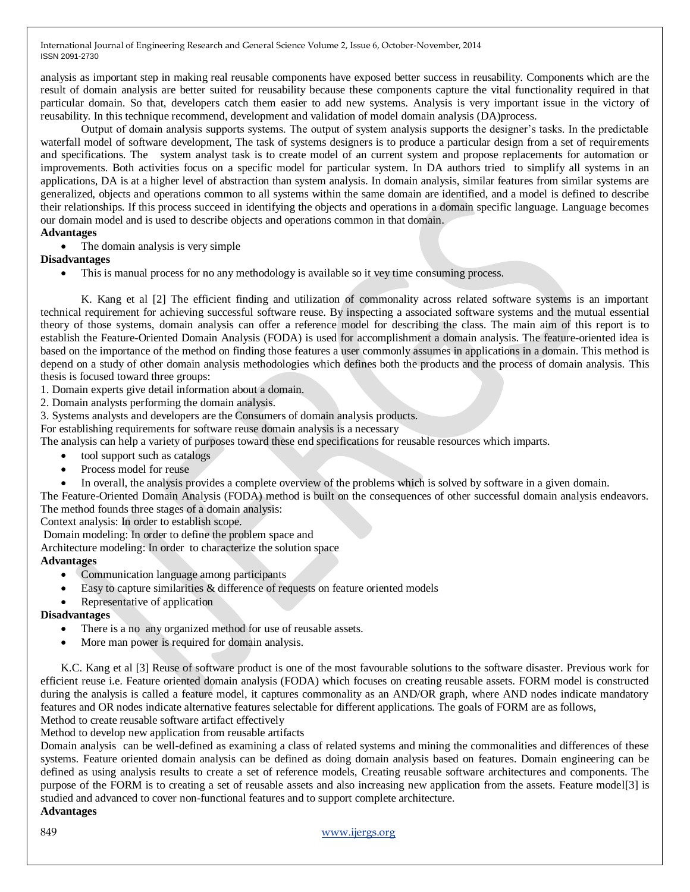analysis as important step in making real reusable components have exposed better success in reusability. Components which are the result of domain analysis are better suited for reusability because these components capture the vital functionality required in that particular domain. So that, developers catch them easier to add new systems. Analysis is very important issue in the victory of reusability. In this technique recommend, development and validation of model domain analysis (DA)process.

Output of domain analysis supports systems. The output of system analysis supports the designer's tasks. In the predictable waterfall model of software development, The task of systems designers is to produce a particular design from a set of requirements and specifications. The system analyst task is to create model of an current system and propose replacements for automation or improvements. Both activities focus on a specific model for particular system. In DA authors tried to simplify all systems in an applications, DA is at a higher level of abstraction than system analysis. In domain analysis, similar features from similar systems are generalized, objects and operations common to all systems within the same domain are identified, and a model is defined to describe their relationships. If this process succeed in identifying the objects and operations in a domain specific language. Language becomes our domain model and is used to describe objects and operations common in that domain.

## **Advantages**

The domain analysis is very simple

**Disadvantages**

This is manual process for no any methodology is available so it vey time consuming process.

K. Kang et al [2] The efficient finding and utilization of commonality across related software systems is an important technical requirement for achieving successful software reuse. By inspecting a associated software systems and the mutual essential theory of those systems, domain analysis can offer a reference model for describing the class. The main aim of this report is to establish the Feature-Oriented Domain Analysis (FODA) is used for accomplishment a domain analysis. The feature-oriented idea is based on the importance of the method on finding those features a user commonly assumes in applications in a domain. This method is depend on a study of other domain analysis methodologies which defines both the products and the process of domain analysis. This thesis is focused toward three groups:

1. Domain experts give detail information about a domain.

2. Domain analysts performing the domain analysis.

3. Systems analysts and developers are the Consumers of domain analysis products.

For establishing requirements for software reuse domain analysis is a necessary

The analysis can help a variety of purposes toward these end specifications for reusable resources which imparts.

- tool support such as catalogs
- Process model for reuse
- In overall, the analysis provides a complete overview of the problems which is solved by software in a given domain.

The Feature-Oriented Domain Analysis (FODA) method is built on the consequences of other successful domain analysis endeavors. The method founds three stages of a domain analysis:

Context analysis: In order to establish scope.

Domain modeling: In order to define the problem space and

Architecture modeling: In order to characterize the solution space

# **Advantages**

- Communication language among participants
- Easy to capture similarities & difference of requests on feature oriented models
- Representative of application

#### **Disadvantages**

- There is a no any organized method for use of reusable assets.
- More man power is required for domain analysis.

K.C. Kang et al [3] Reuse of software product is one of the most favourable solutions to the software disaster. Previous work for efficient reuse i.e. Feature oriented domain analysis (FODA) which focuses on creating reusable assets. FORM model is constructed during the analysis is called a feature model, it captures commonality as an AND/OR graph, where AND nodes indicate mandatory features and OR nodes indicate alternative features selectable for different applications. The goals of FORM are as follows, Method to create reusable software artifact effectively

Method to develop new application from reusable artifacts

Domain analysis can be well-defined as examining a class of related systems and mining the commonalities and differences of these systems. Feature oriented domain analysis can be defined as doing domain analysis based on features. Domain engineering can be defined as using analysis results to create a set of reference models, Creating reusable software architectures and components. The purpose of the FORM is to creating a set of reusable assets and also increasing new application from the assets. Feature model[3] is studied and advanced to cover non-functional features and to support complete architecture.

#### **Advantages**

#### 849 www.ijergs.org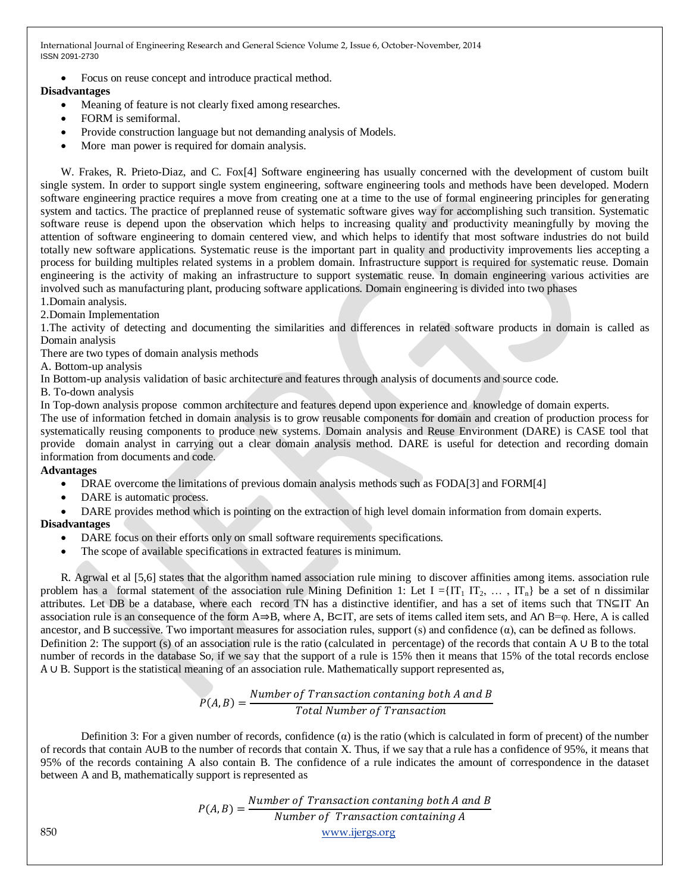Focus on reuse concept and introduce practical method.

## **Disadvantages**

- Meaning of feature is not clearly fixed among researches.
- FORM is semiformal.
- Provide construction language but not demanding analysis of Models.
- More man power is required for domain analysis.

W. Frakes, R. Prieto-Diaz, and C. Fox[4] Software engineering has usually concerned with the development of custom built single system. In order to support single system engineering, software engineering tools and methods have been developed. Modern software engineering practice requires a move from creating one at a time to the use of formal engineering principles for generating system and tactics. The practice of preplanned reuse of systematic software gives way for accomplishing such transition. Systematic software reuse is depend upon the observation which helps to increasing quality and productivity meaningfully by moving the attention of software engineering to domain centered view, and which helps to identify that most software industries do not build totally new software applications. Systematic reuse is the important part in quality and productivity improvements lies accepting a process for building multiples related systems in a problem domain. Infrastructure support is required for systematic reuse. Domain engineering is the activity of making an infrastructure to support systematic reuse. In domain engineering various activities are involved such as manufacturing plant, producing software applications. Domain engineering is divided into two phases

1.Domain analysis.

2.Domain Implementation

1.The activity of detecting and documenting the similarities and differences in related software products in domain is called as Domain analysis

There are two types of domain analysis methods

A. Bottom-up analysis

In Bottom-up analysis validation of basic architecture and features through analysis of documents and source code.

B. To-down analysis

In Top-down analysis propose common architecture and features depend upon experience and knowledge of domain experts.

The use of information fetched in domain analysis is to grow reusable components for domain and creation of production process for systematically reusing components to produce new systems. Domain analysis and Reuse Environment (DARE) is CASE tool that provide domain analyst in carrying out a clear domain analysis method. DARE is useful for detection and recording domain information from documents and code.

#### **Advantages**

- DRAE overcome the limitations of previous domain analysis methods such as FODA[3] and FORM[4]
- DARE is automatic process.
- DARE provides method which is pointing on the extraction of high level domain information from domain experts.

# **Disadvantages**

- DARE focus on their efforts only on small software requirements specifications.
- The scope of available specifications in extracted features is minimum.

R. Agrwal et al [5,6] states that the algorithm named association rule mining to discover affinities among items. association rule problem has a formal statement of the association rule Mining Definition 1: Let  $I = \{IT_1 IT_2, \ldots, IT_n\}$  be a set of n dissimilar attributes. Let DB be a database, where each record TN has a distinctive identifier, and has a set of items such that TN⊆IT An association rule is an consequence of the form A⇒B, where A, B⊂IT, are sets of items called item sets, and A∩ B=φ. Here, A is called ancestor, and B successive. Two important measures for association rules, support (s) and confidence  $(\alpha)$ , can be defined as follows. Definition 2: The support (s) of an association rule is the ratio (calculated in percentage) of the records that contain A ∪ B to the total number of records in the database So, if we say that the support of a rule is 15% then it means that 15% of the total records enclose A ∪ B. Support is the statistical meaning of an association rule. Mathematically support represented as,

$$
P(A, B) = \frac{Number\ of\ Transaction\ containing\ both\ A\ and\ B}{Total\ Number\ of\ Transaction}
$$

Definition 3: For a given number of records, confidence  $\alpha$ ) is the ratio (which is calculated in form of precent) of the number of records that contain A∪B to the number of records that contain X. Thus, if we say that a rule has a confidence of 95%, it means that 95% of the records containing A also contain B. The confidence of a rule indicates the amount of correspondence in the dataset between A and B, mathematically support is represented as

850 www.ijergs.org  $P(A, B) = \frac{Number\ of\ Transaction\ containing\ both\ A\ and\ B}{N}$ Number of Transaction containing A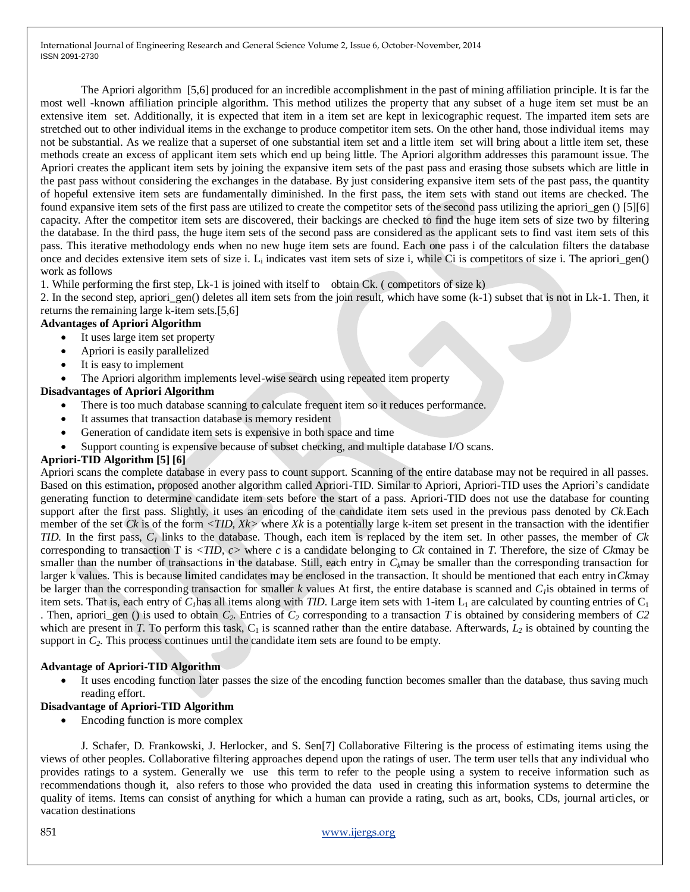The Apriori algorithm [5,6] produced for an incredible accomplishment in the past of mining affiliation principle. It is far the most well -known affiliation principle algorithm. This method utilizes the property that any subset of a huge item set must be an extensive item set. Additionally, it is expected that item in a item set are kept in lexicographic request. The imparted item sets are stretched out to other individual items in the exchange to produce competitor item sets. On the other hand, those individual items may not be substantial. As we realize that a superset of one substantial item set and a little item set will bring about a little item set, these methods create an excess of applicant item sets which end up being little. The Apriori algorithm addresses this paramount issue. The Apriori creates the applicant item sets by joining the expansive item sets of the past pass and erasing those subsets which are little in the past pass without considering the exchanges in the database. By just considering expansive item sets of the past pass, the quantity of hopeful extensive item sets are fundamentally diminished. In the first pass, the item sets with stand out items are checked. The found expansive item sets of the first pass are utilized to create the competitor sets of the second pass utilizing the apriori\_gen () [5][6] capacity. After the competitor item sets are discovered, their backings are checked to find the huge item sets of size two by filtering the database. In the third pass, the huge item sets of the second pass are considered as the applicant sets to find vast item sets of this pass. This iterative methodology ends when no new huge item sets are found. Each one pass i of the calculation filters the database once and decides extensive item sets of size i. L<sub>i</sub> indicates vast item sets of size i, while Ci is competitors of size i. The apriori\_gen() work as follows

1. While performing the first step, Lk-1 is joined with itself to obtain Ck. ( competitors of size k)

2. In the second step, apriori\_gen() deletes all item sets from the join result, which have some (k-1) subset that is not in Lk-1. Then, it returns the remaining large k-item sets.[5,6]

#### **Advantages of Apriori Algorithm**

- It uses large item set property
- Apriori is easily parallelized
- It is easy to implement
- The Apriori algorithm implements level-wise search using repeated item property

#### **Disadvantages of Apriori Algorithm**

- There is too much database scanning to calculate frequent item so it reduces performance.
- It assumes that transaction database is memory resident
- Generation of candidate item sets is expensive in both space and time
- Support counting is expensive because of subset checking, and multiple database I/O scans.

#### **Apriori-TID Algorithm [5] [6]**

Apriori scans the complete database in every pass to count support. Scanning of the entire database may not be required in all passes. Based on this estimation**,** proposed another algorithm called Apriori-TID. Similar to Apriori, Apriori-TID uses the Apriori's candidate generating function to determine candidate item sets before the start of a pass. Apriori-TID does not use the database for counting support after the first pass. Slightly, it uses an encoding of the candidate item sets used in the previous pass denoted by *Ck.*Each member of the set *Ck* is of the form *<TID, Xk>* where *Xk* is a potentially large k-item set present in the transaction with the identifier *TID.* In the first pass, *C<sup>1</sup>* links to the database. Though, each item is replaced by the item set. In other passes, the member of *Ck*  corresponding to transaction T is *<TID, c>* where *c* is a candidate belonging to *Ck* contained in *T*. Therefore, the size of *Ck*may be smaller than the number of transactions in the database. Still, each entry in  $C_k$ may be smaller than the corresponding transaction for larger k values. This is because limited candidates may be enclosed in the transaction. It should be mentioned that each entry in*Ck*may be larger than the corresponding transaction for smaller *k* values At first, the entire database is scanned and *C1*is obtained in terms of item sets. That is, each entry of  $C_I$ has all items along with *TID*. Large item sets with 1-item  $L_1$  are calculated by counting entries of  $C_1$ . Then, apriori gen () is used to obtain  $C_2$ . Entries of  $C_2$  corresponding to a transaction *T* is obtained by considering members of *C2* which are present in *T*. To perform this task,  $C_1$  is scanned rather than the entire database. Afterwards,  $L_2$  is obtained by counting the support in *C2*. This process continues until the candidate item sets are found to be empty.

#### **Advantage of Apriori-TID Algorithm**

 It uses encoding function later passes the size of the encoding function becomes smaller than the database, thus saving much reading effort.

#### **Disadvantage of Apriori-TID Algorithm**

Encoding function is more complex

J. Schafer, D. Frankowski, J. Herlocker, and S. Sen[7] Collaborative Filtering is the process of estimating items using the views of other peoples. Collaborative filtering approaches depend upon the ratings of user. The term user tells that any individual who provides ratings to a system. Generally we use this term to refer to the people using a system to receive information such as recommendations though it, also refers to those who provided the data used in creating this information systems to determine the quality of items. Items can consist of anything for which a human can provide a rating, such as art, books, CDs, journal articles, or vacation destinations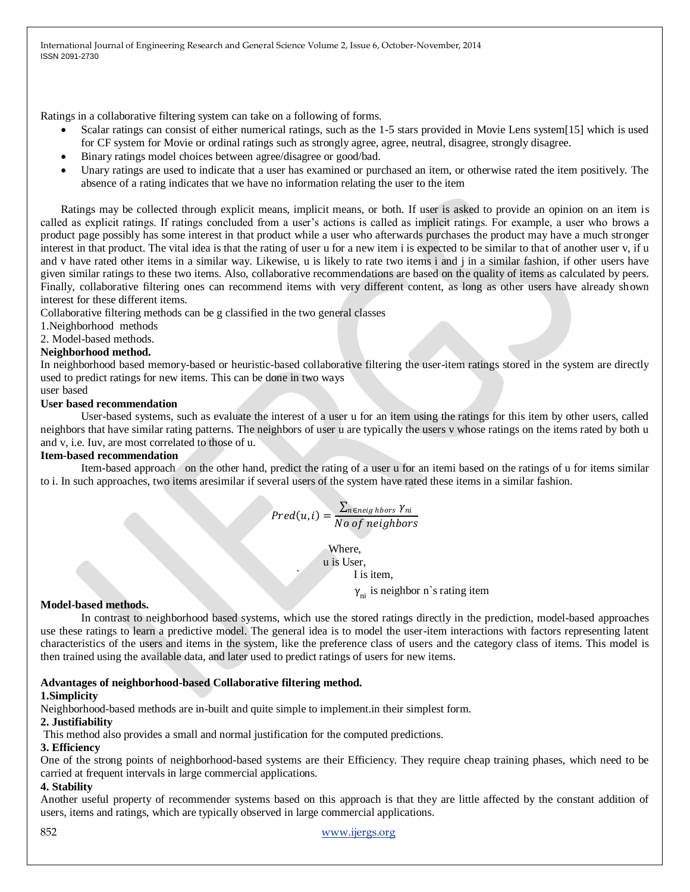Ratings in a collaborative filtering system can take on a following of forms.

- Scalar ratings can consist of either numerical ratings, such as the 1-5 stars provided in Movie Lens system[15] which is used for CF system for Movie or ordinal ratings such as strongly agree, agree, neutral, disagree, strongly disagree.
- Binary ratings model choices between agree/disagree or good/bad.
- Unary ratings are used to indicate that a user has examined or purchased an item, or otherwise rated the item positively. The absence of a rating indicates that we have no information relating the user to the item

Ratings may be collected through explicit means, implicit means, or both. If user is asked to provide an opinion on an item is called as explicit ratings. If ratings concluded from a user's actions is called as implicit ratings. For example, a user who brows a product page possibly has some interest in that product while a user who afterwards purchases the product may have a much stronger interest in that product. The vital idea is that the rating of user u for a new item i is expected to be similar to that of another user v, if u and v have rated other items in a similar way. Likewise, u is likely to rate two items i and j in a similar fashion, if other users have given similar ratings to these two items. Also, collaborative recommendations are based on the quality of items as calculated by peers. Finally, collaborative filtering ones can recommend items with very different content, as long as other users have already shown interest for these different items.

Collaborative filtering methods can be g classified in the two general classes

1.Neighborhood methods

2. Model-based methods.

# **Neighborhood method.**

In neighborhood based memory-based or heuristic-based collaborative filtering the user-item ratings stored in the system are directly used to predict ratings for new items. This can be done in two ways

# user based

# **User based recommendation**

User-based systems, such as evaluate the interest of a user u for an item using the ratings for this item by other users, called neighbors that have similar rating patterns. The neighbors of user u are typically the users v whose ratings on the items rated by both u and v, i.e. Iuv, are most correlated to those of u.

#### **Item-based recommendation**

Item-based approach on the other hand, predict the rating of a user u for an itemi based on the ratings of u for items similar to i. In such approaches, two items aresimilar if several users of the system have rated these items in a similar fashion.

$$
Pred(u, i) = \frac{\sum_{n \in neigh} \text{hbers } \gamma_{ni}}{\text{No of neighbors}}
$$

Where,

u is User,

I is item,

γ ni is neighbor n`s rating item

#### **Model-based methods.**

In contrast to neighborhood based systems, which use the stored ratings directly in the prediction, model-based approaches use these ratings to learn a predictive model. The general idea is to model the user-item interactions with factors representing latent characteristics of the users and items in the system, like the preference class of users and the category class of items. This model is then trained using the available data, and later used to predict ratings of users for new items.

#### **Advantages of neighborhood-based Collaborative filtering method.**

#### **1.Simplicity**

Neighborhood-based methods are in-built and quite simple to implement.in their simplest form.

#### **2. Justifiability**

This method also provides a small and normal justification for the computed predictions.

#### **3. Efficiency**

One of the strong points of neighborhood-based systems are their Efficiency. They require cheap training phases, which need to be carried at frequent intervals in large commercial applications.

#### **4. Stability**

Another useful property of recommender systems based on this approach is that they are little affected by the constant addition of users, items and ratings, which are typically observed in large commercial applications.

852 www.ijergs.org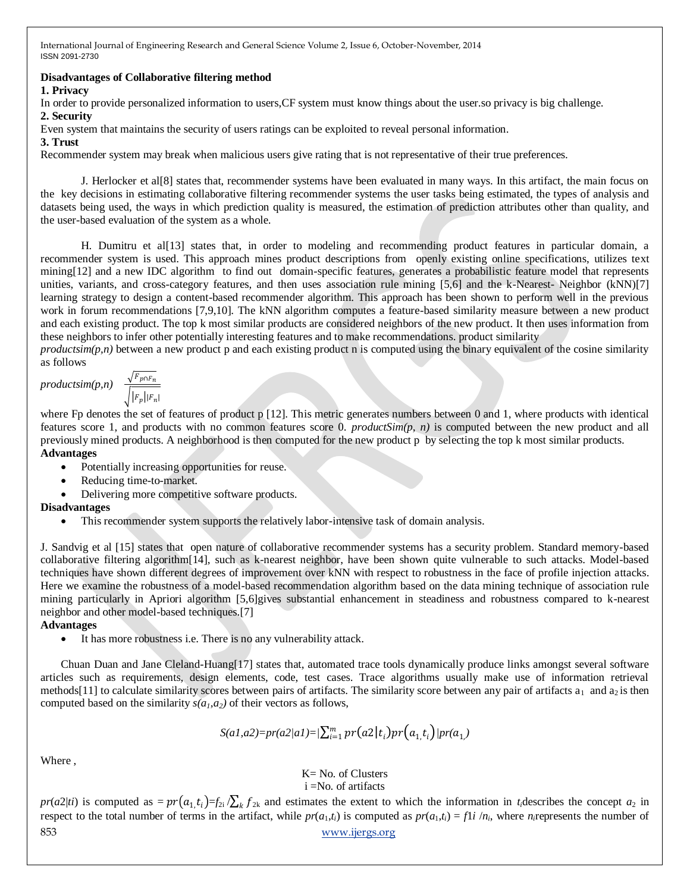# **Disadvantages of Collaborative filtering method**

#### **1. Privacy**

In order to provide personalized information to users,CF system must know things about the user.so privacy is big challenge.

# **2. Security**

Even system that maintains the security of users ratings can be exploited to reveal personal information.

**3. Trust**

Recommender system may break when malicious users give rating that is not representative of their true preferences.

J. Herlocker et al[8] states that, recommender systems have been evaluated in many ways. In this artifact, the main focus on the key decisions in estimating collaborative filtering recommender systems the user tasks being estimated, the types of analysis and datasets being used, the ways in which prediction quality is measured, the estimation of prediction attributes other than quality, and the user-based evaluation of the system as a whole.

H. Dumitru et al[13] states that, in order to modeling and recommending product features in particular domain, a recommender system is used. This approach mines product descriptions from openly existing online specifications, utilizes text mining[12] and a new IDC algorithm to find out domain-specific features, generates a probabilistic feature model that represents unities, variants, and cross-category features, and then uses association rule mining [5,6] and the k-Nearest- Neighbor (kNN)[7] learning strategy to design a content-based recommender algorithm. This approach has been shown to perform well in the previous work in forum recommendations [7,9,10]. The kNN algorithm computes a feature-based similarity measure between a new product and each existing product. The top k most similar products are considered neighbors of the new product. It then uses information from these neighbors to infer other potentially interesting features and to make recommendations. product similarity

*productsim(p,n)* between a new product p and each existing product n is computed using the binary equivalent of the cosine similarity as follows

$$
productsim(p,n) \quad \frac{\sqrt{F_{p\cap F_n}}}{\sqrt{\left|F_p\right|\left|F_n\right|}}
$$

where Fp denotes the set of features of product p [12]. This metric generates numbers between 0 and 1, where products with identical features score 1, and products with no common features score 0. *productSim(p, n)* is computed between the new product and all previously mined products. A neighborhood is then computed for the new product p by selecting the top k most similar products. **Advantages**

- Potentially increasing opportunities for reuse.
- Reducing time-to-market.
- Delivering more competitive software products.

# **Disadvantages**

This recommender system supports the relatively labor-intensive task of domain analysis.

J. Sandvig et al [15] states that open nature of collaborative recommender systems has a security problem. Standard memory-based collaborative filtering algorithm[14], such as k-nearest neighbor, have been shown quite vulnerable to such attacks. Model-based techniques have shown different degrees of improvement over kNN with respect to robustness in the face of profile injection attacks. Here we examine the robustness of a model-based recommendation algorithm based on the data mining technique of association rule mining particularly in Apriori algorithm [5,6]gives substantial enhancement in steadiness and robustness compared to k-nearest neighbor and other model-based techniques.[7]

#### **Advantages**

It has more robustness i.e. There is no any vulnerability attack.

Chuan Duan and Jane Cleland-Huang[17] states that, automated trace tools dynamically produce links amongst several software articles such as requirements, design elements, code, test cases. Trace algorithms usually make use of information retrieval methods[11] to calculate similarity scores between pairs of artifacts. The similarity score between any pair of artifacts  $a_1$  and  $a_2$  is then computed based on the similarity  $s(a_1, a_2)$  of their vectors as follows,

$$
S(a1,a2)=pr(a2/a1)=\left(\sum_{i=1}^{m}pr(a2|t_i)pr(a_1,t_i)\right)/pr(a_1)
$$

Where ,

K= No. of Clusters i =No. of artifacts

853 www.ijergs.org  $pr(a2|ti)$  is computed as  $= pr(a_1, t_i) = f_{2i}/\sum_k f_{2k}$  and estimates the extent to which the information in *t<sub>i</sub>*describes the concept *a*<sub>2</sub> in respect to the total number of terms in the artifact, while  $pr(a_1,t_i)$  is computed as  $pr(a_1,t_i) = fli/n_i$ , where  $n_i$ represents the number of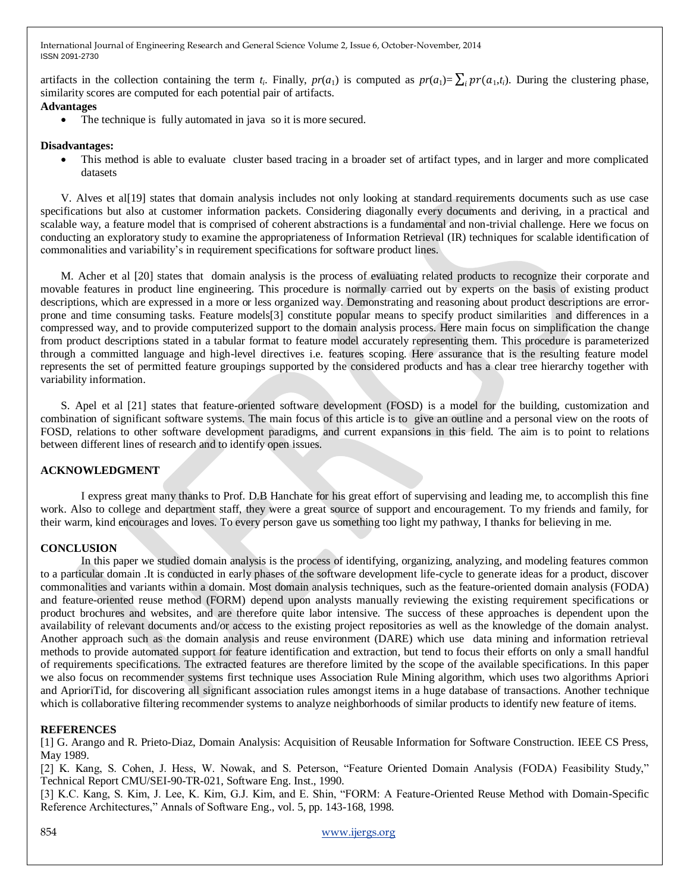artifacts in the collection containing the term  $t_i$ . Finally,  $pr(a_1)$  is computed as  $pr(a_1) = \sum_i pr(a_1, t_i)$ . During the clustering phase, similarity scores are computed for each potential pair of artifacts.

# **Advantages**

• The technique is fully automated in java so it is more secured.

#### **Disadvantages:**

 This method is able to evaluate cluster based tracing in a broader set of artifact types, and in larger and more complicated datasets

V. Alves et al[19] states that domain analysis includes not only looking at standard requirements documents such as use case specifications but also at customer information packets. Considering diagonally every documents and deriving, in a practical and scalable way, a feature model that is comprised of coherent abstractions is a fundamental and non-trivial challenge. Here we focus on conducting an exploratory study to examine the appropriateness of Information Retrieval (IR) techniques for scalable identification of commonalities and variability's in requirement specifications for software product lines.

M. Acher et al [20] states that domain analysis is the process of evaluating related products to recognize their corporate and movable features in product line engineering. This procedure is normally carried out by experts on the basis of existing product descriptions, which are expressed in a more or less organized way. Demonstrating and reasoning about product descriptions are errorprone and time consuming tasks. Feature models[3] constitute popular means to specify product similarities and differences in a compressed way, and to provide computerized support to the domain analysis process. Here main focus on simplification the change from product descriptions stated in a tabular format to feature model accurately representing them. This procedure is parameterized through a committed language and high-level directives i.e. features scoping. Here assurance that is the resulting feature model represents the set of permitted feature groupings supported by the considered products and has a clear tree hierarchy together with variability information.

S. Apel et al [21] states that feature-oriented software development (FOSD) is a model for the building, customization and combination of significant software systems. The main focus of this article is to give an outline and a personal view on the roots of FOSD, relations to other software development paradigms, and current expansions in this field. The aim is to point to relations between different lines of research and to identify open issues.

#### **ACKNOWLEDGMENT**

I express great many thanks to Prof. D.B Hanchate for his great effort of supervising and leading me, to accomplish this fine work. Also to college and department staff, they were a great source of support and encouragement. To my friends and family, for their warm, kind encourages and loves. To every person gave us something too light my pathway, I thanks for believing in me.

#### **CONCLUSION**

In this paper we studied domain analysis is the process of identifying, organizing, analyzing, and modeling features common to a particular domain .It is conducted in early phases of the software development life-cycle to generate ideas for a product, discover commonalities and variants within a domain. Most domain analysis techniques, such as the feature-oriented domain analysis (FODA) and feature-oriented reuse method (FORM) depend upon analysts manually reviewing the existing requirement specifications or product brochures and websites, and are therefore quite labor intensive. The success of these approaches is dependent upon the availability of relevant documents and/or access to the existing project repositories as well as the knowledge of the domain analyst. Another approach such as the domain analysis and reuse environment (DARE) which use data mining and information retrieval methods to provide automated support for feature identification and extraction, but tend to focus their efforts on only a small handful of requirements specifications. The extracted features are therefore limited by the scope of the available specifications. In this paper we also focus on recommender systems first technique uses Association Rule Mining algorithm, which uses two algorithms Apriori and AprioriTid, for discovering all significant association rules amongst items in a huge database of transactions. Another technique which is collaborative filtering recommender systems to analyze neighborhoods of similar products to identify new feature of items.

#### **REFERENCES**

[1] G. Arango and R. Prieto-Diaz, Domain Analysis: Acquisition of Reusable Information for Software Construction. IEEE CS Press, May 1989.

[2] K. Kang, S. Cohen, J. Hess, W. Nowak, and S. Peterson, "Feature Oriented Domain Analysis (FODA) Feasibility Study," Technical Report CMU/SEI-90-TR-021, Software Eng. Inst., 1990.

[3] K.C. Kang, S. Kim, J. Lee, K. Kim, G.J. Kim, and E. Shin, "FORM: A Feature-Oriented Reuse Method with Domain-Specific Reference Architectures," Annals of Software Eng., vol. 5, pp. 143-168, 1998.